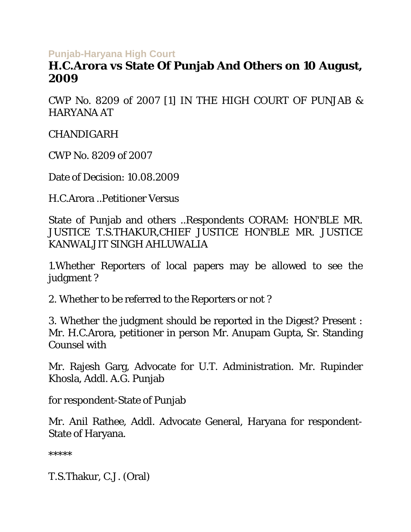## **Punjab-Haryana High Court**

## **H.C.Arora vs State Of Punjab And Others on 10 August, 2009**

CWP No. 8209 of 2007 [1] IN THE HIGH COURT OF PUNJAB & HARYANA AT

CHANDIGARH

CWP No. 8209 of 2007

Date of Decision: 10.08.2009

H.C.Arora ..Petitioner Versus

State of Punjab and others ..Respondents CORAM: HON'BLE MR. JUSTICE T.S.THAKUR,CHIEF JUSTICE HON'BLE MR. JUSTICE KANWALJIT SINGH AHLUWALIA

1.Whether Reporters of local papers may be allowed to see the judgment ?

2. Whether to be referred to the Reporters or not ?

3. Whether the judgment should be reported in the Digest? Present : Mr. H.C.Arora, petitioner in person Mr. Anupam Gupta, Sr. Standing Counsel with

Mr. Rajesh Garg, Advocate for U.T. Administration. Mr. Rupinder Khosla, Addl. A.G. Punjab

for respondent-State of Punjab

Mr. Anil Rathee, Addl. Advocate General, Haryana for respondent-State of Haryana.

\*\*\*\*\*

T.S.Thakur, C.J. (Oral)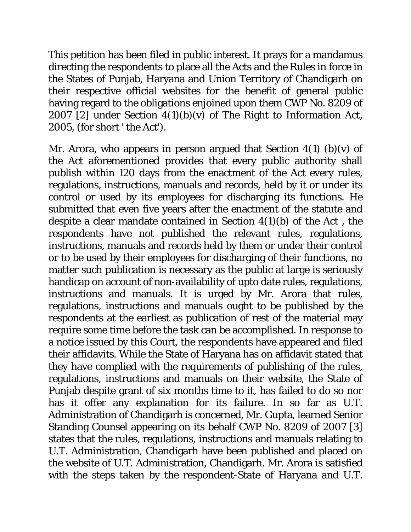This petition has been filed in public interest. It prays for a mandamus directing the respondents to place all the Acts and the Rules in force in the States of Punjab, Haryana and Union Territory of Chandigarh on their respective official websites for the benefit of general public having regard to the obligations enjoined upon them CWP No. 8209 of 2007 [2] under Section  $4(1)(b)(v)$  of The Right to Information Act, 2005, (for short ' the Act').

Mr. Arora, who appears in person argued that Section  $4(1)$  (b)(v) of the Act aforementioned provides that every public authority shall publish within 120 days from the enactment of the Act every rules, regulations, instructions, manuals and records, held by it or under its control or used by its employees for discharging its functions. He submitted that even five years after the enactment of the statute and despite a clear mandate contained in Section  $4(1)(b)$  of the Act, the respondents have not published the relevant rules, regulations, instructions, manuals and records held by them or under their control or to be used by their employees for discharging of their functions, no matter such publication is necessary as the public at large is seriously handicap on account of non-availability of upto date rules, regulations, instructions and manuals. It is urged by Mr. Arora that rules, regulations, instructions and manuals ought to be published by the respondents at the earliest as publication of rest of the material may require some time before the task can be accomplished. In response to a notice issued by this Court, the respondents have appeared and filed their affidavits. While the State of Haryana has on affidavit stated that they have complied with the requirements of publishing of the rules, regulations, instructions and manuals on their website, the State of Punjab despite grant of six months time to it, has failed to do so nor has it offer any explanation for its failure. In so far as U.T. Administration of Chandigarh is concerned, Mr. Gupta, learned Senior Standing Counsel appearing on its behalf CWP No. 8209 of 2007 [3] states that the rules, regulations, instructions and manuals relating to U.T. Administration, Chandigarh have been published and placed on the website of U.T. Administration, Chandigarh. Mr. Arora is satisfied with the steps taken by the respondent-State of Haryana and U.T.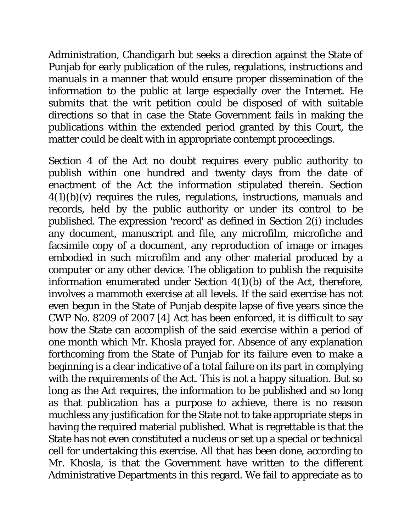Administration, Chandigarh but seeks a direction against the State of Punjab for early publication of the rules, regulations, instructions and manuals in a manner that would ensure proper dissemination of the information to the public at large especially over the Internet. He submits that the writ petition could be disposed of with suitable directions so that in case the State Government fails in making the publications within the extended period granted by this Court, the matter could be dealt with in appropriate contempt proceedings.

Section 4 of the Act no doubt requires every public authority to publish within one hundred and twenty days from the date of enactment of the Act the information stipulated therein. Section  $4(1)(b)(v)$  requires the rules, regulations, instructions, manuals and records, held by the public authority or under its control to be published. The expression 'record' as defined in Section 2(i) includes any document, manuscript and file, any microfilm, microfiche and facsimile copy of a document, any reproduction of image or images embodied in such microfilm and any other material produced by a computer or any other device. The obligation to publish the requisite information enumerated under Section 4(1)(b) of the Act, therefore, involves a mammoth exercise at all levels. If the said exercise has not even begun in the State of Punjab despite lapse of five years since the CWP No. 8209 of 2007 [4] Act has been enforced, it is difficult to say how the State can accomplish of the said exercise within a period of one month which Mr. Khosla prayed for. Absence of any explanation forthcoming from the State of Punjab for its failure even to make a beginning is a clear indicative of a total failure on its part in complying with the requirements of the Act. This is not a happy situation. But so long as the Act requires, the information to be published and so long as that publication has a purpose to achieve, there is no reason muchless any justification for the State not to take appropriate steps in having the required material published. What is regrettable is that the State has not even constituted a nucleus or set up a special or technical cell for undertaking this exercise. All that has been done, according to Mr. Khosla, is that the Government have written to the different Administrative Departments in this regard. We fail to appreciate as to